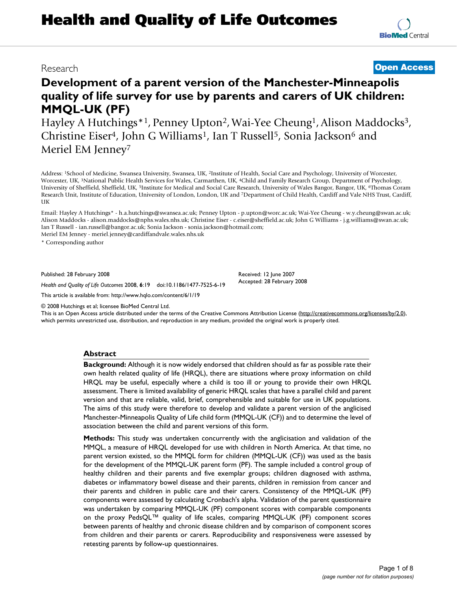# **Development of a parent version of the Manchester-Minneapolis quality of life survey for use by parents and carers of UK children: MMQL-UK (PF)**

Hayley A Hutchings<sup>\*1</sup>, Penney Upton<sup>2</sup>, Wai-Yee Cheung<sup>1</sup>, Alison Maddocks<sup>3</sup>, Christine Eiser<sup>4</sup>, John G Williams<sup>1</sup>, Ian T Russell<sup>5</sup>, Sonia Jackson<sup>6</sup> and Meriel EM Jenney7

Address: 1School of Medicine, Swansea University, Swansea, UK, 2Institute of Health, Social Care and Psychology, University of Worcester, Worcester, UK, 3National Public Health Services for Wales, Carmarthen, UK, 4Child and Family Research Group, Department of Psychology, University of Sheffield, Sheffield, UK, 5Institute for Medical and Social Care Research, University of Wales Bangor, Bangor, UK, 6Thomas Coram Research Unit, Institute of Education, University of London, London, UK and 7Department of Child Health, Cardiff and Vale NHS Trust, Cardiff, UK

Email: Hayley A Hutchings\* - h.a.hutchings@swansea.ac.uk; Penney Upton - p.upton@worc.ac.uk; Wai-Yee Cheung - w.y.cheung@swan.ac.uk; Alison Maddocks - alison.maddocks@nphs.wales.nhs.uk; Christine Eiser - c.eiser@sheffield.ac.uk; John G Williams - j.g.williams@swan.ac.uk; Ian T Russell - ian.russell@bangor.ac.uk; Sonia Jackson - sonia.jackson@hotmail.com; Meriel EM Jenney - meriel.jenney@cardiffandvale.wales.nhs.uk

\* Corresponding author

Published: 28 February 2008

*Health and Quality of Life Outcomes* 2008, **6**:19 doi:10.1186/1477-7525-6-19

[This article is available from: http://www.hqlo.com/content/6/1/19](http://www.hqlo.com/content/6/1/19)

© 2008 Hutchings et al; licensee BioMed Central Ltd.

This is an Open Access article distributed under the terms of the Creative Commons Attribution License [\(http://creativecommons.org/licenses/by/2.0\)](http://creativecommons.org/licenses/by/2.0), which permits unrestricted use, distribution, and reproduction in any medium, provided the original work is properly cited.

#### **Abstract**

**Background:** Although it is now widely endorsed that children should as far as possible rate their own health related quality of life (HRQL), there are situations where proxy information on child HRQL may be useful, especially where a child is too ill or young to provide their own HRQL assessment. There is limited availability of generic HRQL scales that have a parallel child and parent version and that are reliable, valid, brief, comprehensible and suitable for use in UK populations. The aims of this study were therefore to develop and validate a parent version of the anglicised Manchester-Minneapolis Quality of Life child form (MMQL-UK (CF)) and to determine the level of association between the child and parent versions of this form.

**Methods:** This study was undertaken concurrently with the anglicisation and validation of the MMQL, a measure of HRQL developed for use with children in North America. At that time, no parent version existed, so the MMQL form for children (MMQL-UK (CF)) was used as the basis for the development of the MMQL-UK parent form (PF). The sample included a control group of healthy children and their parents and five exemplar groups; children diagnosed with asthma, diabetes or inflammatory bowel disease and their parents, children in remission from cancer and their parents and children in public care and their carers. Consistency of the MMQL-UK (PF) components were assessed by calculating Cronbach's alpha. Validation of the parent questionnaire was undertaken by comparing MMQL-UK (PF) component scores with comparable components on the proxy PedsQL™ quality of life scales, comparing MMQL-UK (PF) component scores between parents of healthy and chronic disease children and by comparison of component scores from children and their parents or carers. Reproducibility and responsiveness were assessed by retesting parents by follow-up questionnaires.

# Research **[Open Access](http://www.biomedcentral.com/info/about/charter/)**

Received: 12 June 2007 Accepted: 28 February 2008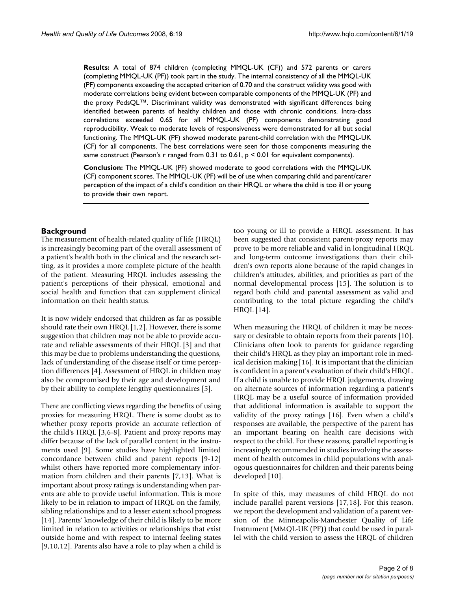**Results:** A total of 874 children (completing MMQL-UK (CF)) and 572 parents or carers (completing MMQL-UK (PF)) took part in the study. The internal consistency of all the MMQL-UK (PF) components exceeding the accepted criterion of 0.70 and the construct validity was good with moderate correlations being evident between comparable components of the MMQL-UK (PF) and the proxy PedsQL™. Discriminant validity was demonstrated with significant differences being identified between parents of healthy children and those with chronic conditions. Intra-class correlations exceeded 0.65 for all MMQL-UK (PF) components demonstrating good reproducibility. Weak to moderate levels of responsiveness were demonstrated for all but social functioning. The MMQL-UK (PF) showed moderate parent-child correlation with the MMQL-UK (CF) for all components. The best correlations were seen for those components measuring the same construct (Pearson's r ranged from  $0.31$  to  $0.61$ ,  $p \le 0.01$  for equivalent components).

**Conclusion:** The MMQL-UK (PF) showed moderate to good correlations with the MMQL-UK (CF) component scores. The MMQL-UK (PF) will be of use when comparing child and parent/carer perception of the impact of a child's condition on their HRQL or where the child is too ill or young to provide their own report.

# **Background**

The measurement of health-related quality of life (HRQL) is increasingly becoming part of the overall assessment of a patient's health both in the clinical and the research setting, as it provides a more complete picture of the health of the patient. Measuring HRQL includes assessing the patient's perceptions of their physical, emotional and social health and function that can supplement clinical information on their health status.

It is now widely endorsed that children as far as possible should rate their own HRQL [1,2]. However, there is some suggestion that children may not be able to provide accurate and reliable assessments of their HRQL [3] and that this may be due to problems understanding the questions, lack of understanding of the disease itself or time perception differences [4]. Assessment of HRQL in children may also be compromised by their age and development and by their ability to complete lengthy questionnaires [5].

There are conflicting views regarding the benefits of using proxies for measuring HRQL. There is some doubt as to whether proxy reports provide an accurate reflection of the child's HRQL [3,6-8]. Patient and proxy reports may differ because of the lack of parallel content in the instruments used [9]. Some studies have highlighted limited concordance between child and parent reports [9-12] whilst others have reported more complementary information from children and their parents [7,13]. What is important about proxy ratings is understanding when parents are able to provide useful information. This is more likely to be in relation to impact of HRQL on the family, sibling relationships and to a lesser extent school progress [14]. Parents' knowledge of their child is likely to be more limited in relation to activities or relationships that exist outside home and with respect to internal feeling states [9,10,12]. Parents also have a role to play when a child is too young or ill to provide a HRQL assessment. It has been suggested that consistent parent-proxy reports may prove to be more reliable and valid in longitudinal HRQL and long-term outcome investigations than their children's own reports alone because of the rapid changes in children's attitudes, abilities, and priorities as part of the normal developmental process [15]. The solution is to regard both child and parental assessment as valid and contributing to the total picture regarding the child's HRQL [14].

When measuring the HRQL of children it may be necessary or desirable to obtain reports from their parents [10]. Clinicians often look to parents for guidance regarding their child's HRQL as they play an important role in medical decision making [16]. It is important that the clinician is confident in a parent's evaluation of their child's HRQL. If a child is unable to provide HRQL judgements, drawing on alternate sources of information regarding a patient's HRQL may be a useful source of information provided that additional information is available to support the validity of the proxy ratings [16]. Even when a child's responses are available, the perspective of the parent has an important bearing on health care decisions with respect to the child. For these reasons, parallel reporting is increasingly recommended in studies involving the assessment of health outcomes in child populations with analogous questionnaires for children and their parents being developed [10].

In spite of this, may measures of child HRQL do not include parallel parent versions [17,18]. For this reason, we report the development and validation of a parent version of the Minneapolis-Manchester Quality of Life Instrument (MMQL-UK (PF)) that could be used in parallel with the child version to assess the HRQL of children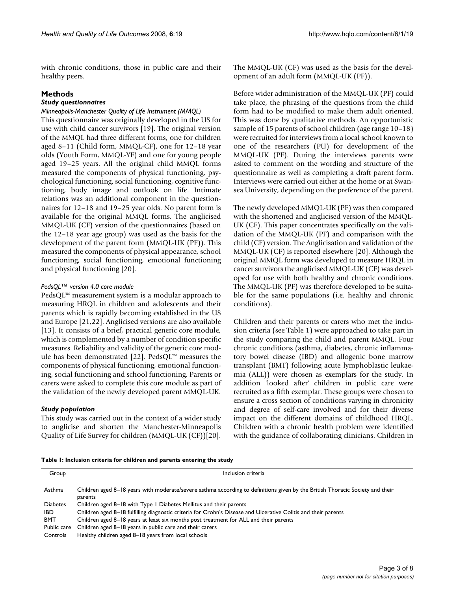with chronic conditions, those in public care and their healthy peers.

# **Methods**

# *Study questionnaires*

#### *Minneapolis-Manchester Quality of Life Instrument (MMQL)*

This questionnaire was originally developed in the US for use with child cancer survivors [19]. The original version of the MMQL had three different forms, one for children aged 8–11 (Child form, MMQL-CF), one for 12–18 year olds (Youth Form, MMQL-YF) and one for young people aged 19–25 years. All the original child MMQL forms measured the components of physical functioning, psychological functioning, social functioning, cognitive functioning, body image and outlook on life. Intimate relations was an additional component in the questionnaires for 12–18 and 19–25 year olds. No parent form is available for the original MMQL forms. The anglicised MMQL-UK (CF) version of the questionnaires (based on the 12–18 year age group) was used as the basis for the development of the parent form (MMQL-UK (PF)). This measured the components of physical appearance, school functioning, social functioning, emotional functioning and physical functioning [20].

## *PedsQL™ version 4.0 core module*

PedsQL™ measurement system is a modular approach to measuring HRQL in children and adolescents and their parents which is rapidly becoming established in the US and Europe [21,22]. Anglicised versions are also available [13]. It consists of a brief, practical generic core module, which is complemented by a number of condition specific measures. Reliability and validity of the generic core module has been demonstrated [22]. PedsQL™ measures the components of physical functioning, emotional functioning, social functioning and school functioning. Parents or carers were asked to complete this core module as part of the validation of the newly developed parent MMQL-UK.

#### *Study population*

This study was carried out in the context of a wider study to anglicise and shorten the Manchester-Minneapolis Quality of Life Survey for children (MMQL-UK (CF))[20].

The MMQL-UK (CF) was used as the basis for the development of an adult form (MMQL-UK (PF)).

Before wider administration of the MMQL-UK (PF) could take place, the phrasing of the questions from the child form had to be modified to make them adult oriented. This was done by qualitative methods. An opportunistic sample of 15 parents of school children (age range 10–18) were recruited for interviews from a local school known to one of the researchers (PU) for development of the MMQL-UK (PF). During the interviews parents were asked to comment on the wording and structure of the questionnaire as well as completing a draft parent form. Interviews were carried out either at the home or at Swansea University, depending on the preference of the parent.

The newly developed MMQL-UK (PF) was then compared with the shortened and anglicised version of the MMQL-UK (CF). This paper concentrates specifically on the validation of the MMQL-UK (PF) and comparison with the child (CF) version. The Anglicisation and validation of the MMQL-UK (CF) is reported elsewhere [20]. Although the original MMQL form was developed to measure HRQL in cancer survivors the anglicised MMQL-UK (CF) was developed for use with both healthy and chronic conditions. The MMQL-UK (PF) was therefore developed to be suitable for the same populations (i.e. healthy and chronic conditions).

Children and their parents or carers who met the inclusion criteria (see Table 1) were approached to take part in the study comparing the child and parent MMQL. Four chronic conditions (asthma, diabetes, chronic inflammatory bowel disease (IBD) and allogenic bone marrow transplant (BMT) following acute lymphoblastic leukaemia (ALL)) were chosen as exemplars for the study. In addition 'looked after' children in public care were recruited as a fifth exemplar. These groups were chosen to ensure a cross section of conditions varying in chronicity and degree of self-care involved and for their diverse impact on the different domains of childhood HRQL. Children with a chronic health problem were identified with the guidance of collaborating clinicians. Children in

| Table 1: Inclusion criteria for children and parents entering the study |  |  |  |  |  |
|-------------------------------------------------------------------------|--|--|--|--|--|
|-------------------------------------------------------------------------|--|--|--|--|--|

| Group           | Inclusion criteria                                                                                                                       |
|-----------------|------------------------------------------------------------------------------------------------------------------------------------------|
| Asthma          | Children aged 8–18 years with moderate/severe asthma according to definitions given by the British Thoracic Society and their<br>parents |
| <b>Diabetes</b> | Children aged 8–18 with Type 1 Diabetes Mellitus and their parents                                                                       |
| IBD.            | Children aged 8–18 fulfilling diagnostic criteria for Crohn's Disease and Ulcerative Colitis and their parents                           |
| <b>BMT</b>      | Children aged 8-18 years at least six months post treatment for ALL and their parents                                                    |
| Public care     | Children aged 8-18 years in public care and their carers                                                                                 |
| Controls        | Healthy children aged 8-18 years from local schools                                                                                      |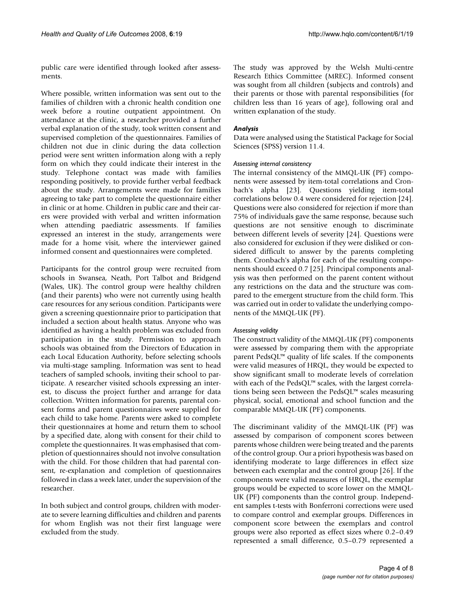public care were identified through looked after assessments.

Where possible, written information was sent out to the families of children with a chronic health condition one week before a routine outpatient appointment. On attendance at the clinic, a researcher provided a further verbal explanation of the study, took written consent and supervised completion of the questionnaires. Families of children not due in clinic during the data collection period were sent written information along with a reply form on which they could indicate their interest in the study. Telephone contact was made with families responding positively, to provide further verbal feedback about the study. Arrangements were made for families agreeing to take part to complete the questionnaire either in clinic or at home. Children in public care and their carers were provided with verbal and written information when attending paediatric assessments. If families expressed an interest in the study, arrangements were made for a home visit, where the interviewer gained informed consent and questionnaires were completed.

Participants for the control group were recruited from schools in Swansea, Neath, Port Talbot and Bridgend (Wales, UK). The control group were healthy children (and their parents) who were not currently using health care resources for any serious condition. Participants were given a screening questionnaire prior to participation that included a section about health status. Anyone who was identified as having a health problem was excluded from participation in the study. Permission to approach schools was obtained from the Directors of Education in each Local Education Authority, before selecting schools via multi-stage sampling. Information was sent to head teachers of sampled schools, inviting their school to participate. A researcher visited schools expressing an interest, to discuss the project further and arrange for data collection. Written information for parents, parental consent forms and parent questionnaires were supplied for each child to take home. Parents were asked to complete their questionnaires at home and return them to school by a specified date, along with consent for their child to complete the questionnaires. It was emphasised that completion of questionnaires should not involve consultation with the child. For those children that had parental consent, re-explanation and completion of questionnaires followed in class a week later, under the supervision of the researcher.

In both subject and control groups, children with moderate to severe learning difficulties and children and parents for whom English was not their first language were excluded from the study.

The study was approved by the Welsh Multi-centre Research Ethics Committee (MREC). Informed consent was sought from all children (subjects and controls) and their parents or those with parental responsibilities (for children less than 16 years of age), following oral and written explanation of the study.

# *Analysis*

Data were analysed using the Statistical Package for Social Sciences (SPSS) version 11.4.

# *Assessing internal consistency*

The internal consistency of the MMQL-UK (PF) components were assessed by item-total correlations and Cronbach's alpha [23]. Questions yielding item-total correlations below 0.4 were considered for rejection [24]. Questions were also considered for rejection if more than 75% of individuals gave the same response, because such questions are not sensitive enough to discriminate between different levels of severity [24]. Questions were also considered for exclusion if they were disliked or considered difficult to answer by the parents completing them. Cronbach's alpha for each of the resulting components should exceed 0.7 [25]. Principal components analysis was then performed on the parent content without any restrictions on the data and the structure was compared to the emergent structure from the child form. This was carried out in order to validate the underlying components of the MMQL-UK (PF).

# *Assessing validity*

The construct validity of the MMQL-UK (PF) components were assessed by comparing them with the appropriate parent PedsQL™ quality of life scales. If the components were valid measures of HRQL, they would be expected to show significant small to moderate levels of correlation with each of the PedsQL™ scales, with the largest correlations being seen between the PedsQL™ scales measuring physical, social, emotional and school function and the comparable MMQL-UK (PF) components.

The discriminant validity of the MMQL-UK (PF) was assessed by comparison of component scores between parents whose children were being treated and the parents of the control group. Our a priori hypothesis was based on identifying moderate to large differences in effect size between each exemplar and the control group [26]. If the components were valid measures of HRQL, the exemplar groups would be expected to score lower on the MMQL-UK (PF) components than the control group. Independent samples t-tests with Bonferroni corrections were used to compare control and exemplar groups. Differences in component score between the exemplars and control groups were also reported as effect sizes where 0.2–0.49 represented a small difference, 0.5–0.79 represented a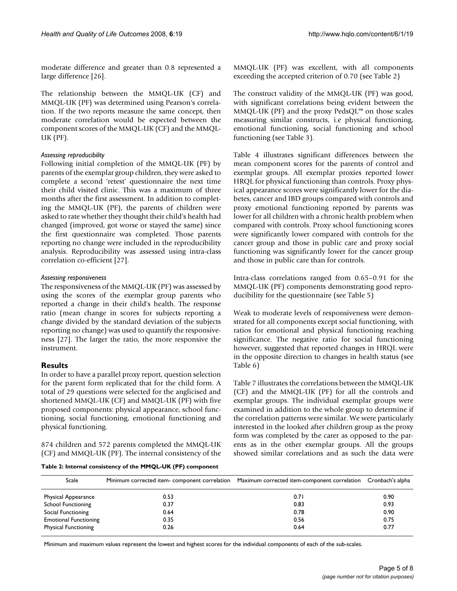moderate difference and greater than 0.8 represented a large difference [26].

The relationship between the MMQL-UK (CF) and MMQL-UK (PF) was determined using Pearson's correlation. If the two reports measure the same concept, then moderate correlation would be expected between the component scores of the MMQL-UK (CF) and the MMQL-UK (PF).

# *Assessing reproducibility*

Following initial completion of the MMQL-UK (PF) by parents of the exemplar group children, they were asked to complete a second 'retest' questionnaire the next time their child visited clinic. This was a maximum of three months after the first assessment. In addition to completing the MMQL-UK (PF), the parents of children were asked to rate whether they thought their child's health had changed (improved, got worse or stayed the same) since the first questionnaire was completed. Those parents reporting no change were included in the reproducibility analysis. Reproducibility was assessed using intra-class correlation co-efficient [27].

# *Assessing responsiveness*

The responsiveness of the MMQL-UK (PF) was assessed by using the scores of the exemplar group parents who reported a change in their child's health. The response ratio (mean change in scores for subjects reporting a change divided by the standard deviation of the subjects reporting no change) was used to quantify the responsiveness [27]. The larger the ratio, the more responsive the instrument.

# **Results**

In order to have a parallel proxy report, question selection for the parent form replicated that for the child form. A total of 29 questions were selected for the anglicised and shortened MMQL-UK (CF) and MMQL-UK (PF) with five proposed components: physical appearance, school functioning, social functioning, emotional functioning and physical functioning.

874 children and 572 parents completed the MMQL-UK (CF) and MMQL-UK (PF). The internal consistency of the MMQL-UK (PF) was excellent, with all components exceeding the accepted criterion of 0.70 (see Table 2)

The construct validity of the MMQL-UK (PF) was good, with significant correlations being evident between the MMQL-UK (PF) and the proxy PedsQL™ on those scales measuring similar constructs, i.e physical functioning, emotional functioning, social functioning and school functioning (see Table 3).

Table 4 illustrates significant differences between the mean component scores for the parents of control and exemplar groups. All exemplar proxies reported lower HRQL for physical functioning than controls. Proxy physical appearance scores were significantly lower for the diabetes, cancer and IBD groups compared with controls and proxy emotional functioning reported by parents was lower for all children with a chronic health problem when compared with controls. Proxy school functioning scores were significantly lower compared with controls for the cancer group and those in public care and proxy social functioning was significantly lower for the cancer group and those in public care than for controls.

Intra-class correlations ranged from 0.65–0.91 for the MMQL-UK (PF) components demonstrating good reproducibility for the questionnaire (see Table 5)

Weak to moderate levels of responsiveness were demonstrated for all components except social functioning, with ratios for emotional and physical functioning reaching significance. The negative ratio for social functioning however, suggested that reported changes in HRQL were in the opposite direction to changes in health status (see Table 6)

Table 7 illustrates the correlations between the MMQL-UK (CF) and the MMQL-UK (PF) for all the controls and exemplar groups. The individual exemplar groups were examined in addition to the whole group to determine if the correlation patterns were similar. We were particularly interested in the looked after children group as the proxy form was completed by the carer as opposed to the parents as in the other exemplar groups. All the groups showed similar correlations and as such the data were

**Table 2: Internal consistency of the MMQL-UK (PF) component**

| <b>Scale</b>                 |      | Minimum corrected item- component correlation Maximum corrected item-component correlation Cronbach's alpha |      |
|------------------------------|------|-------------------------------------------------------------------------------------------------------------|------|
| Physical Appearance          | 0.53 | 0.71                                                                                                        | 0.90 |
| School Functioning           | 0.37 | 0.83                                                                                                        | 0.93 |
| Social Functioning           | 0.64 | 0.78                                                                                                        | 0.90 |
| <b>Emotional Functioning</b> | 0.35 | 0.56                                                                                                        | 0.75 |
| <b>Physical Functioning</b>  | 0.26 | 0.64                                                                                                        | 0.77 |

Minimum and maximum values represent the lowest and highest scores for the individual components of each of the sub-scales.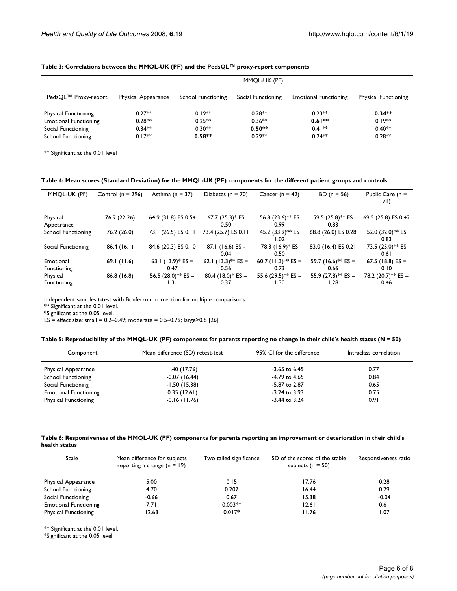|                              | MMQL-UK (PF)        |                           |                    |                              |                             |  |
|------------------------------|---------------------|---------------------------|--------------------|------------------------------|-----------------------------|--|
| PedsQL™ Proxy-report         | Physical Appearance | <b>School Functioning</b> | Social Functioning | <b>Emotional Functioning</b> | <b>Physical Functioning</b> |  |
| <b>Physical Functioning</b>  | $0.27**$            | $0.19**$                  | $0.28**$           | $0.23***$                    | $0.34**$                    |  |
| <b>Emotional Functioning</b> | $0.28**$            | $0.25**$                  | $0.36**$           | $0.61**$                     | $0.19***$                   |  |
| Social Functioning           | $0.34***$           | $0.30**$                  | $0.50**$           | $0.41**$                     | $0.40**$                    |  |
| School Functioning           | $0.17**$            | $0.58**$                  | $0.29**$           | $0.24***$                    | $0.28**$                    |  |

# **Table 3: Correlations between the MMQL-UK (PF) and the PedsQL™ proxy-report components**

\*\* Significant at the 0.01 level

# **Table 4: Mean scores (Standard Deviation) for the MMQL-UK (PF) components for the different patient groups and controls**

| MMQL-UK (PF)              | Control ( $n = 296$ ) | Asthma ( $n = 37$ )                     | Diabetes ( $n = 70$ )                    | Cancer ( $n = 42$ )                      | $IBD (n = 56)$                | Public Care (n =<br>71)                  |
|---------------------------|-----------------------|-----------------------------------------|------------------------------------------|------------------------------------------|-------------------------------|------------------------------------------|
| Physical<br>Appearance    | 76.9 (22.26)          | 64.9 (31.8) ES 0.54                     | 67.7 (25.3)* ES<br>0.50                  | 56.8 (23.6)** ES<br>0.99                 | 59.5 (25.8)** ES<br>0.83      | 69.5 (25.8) ES 0.42                      |
| <b>School Functioning</b> | 76.2 (26.0)           | 73.1 (26.5) ES 0.11                     | 73.4 (25.7) ES 0.11                      | 45.2 (33.9)** ES<br>.02                  | 68.8 (26.0) ES 0.28           | 52.0 (32.0) <sup>**</sup> ES<br>0.83     |
| Social Functioning        | 86.4(16.1)            | 84.6 (20.3) ES 0.10                     | 87.1 (16.6) ES -<br>0.04                 | 78.3 (16.9)* ES<br>0.50                  | 83.0 (16.4) ES 0.21           | 73.5 (25.0)** ES<br>0.61                 |
| Emotional<br>Functioning  | 69.1(11.6)            | 63.1 $(13.9)$ <sup>*</sup> ES =<br>0.47 | 62.1 $(13.3)$ <sup>**</sup> ES =<br>0.56 | 60.7 (11.3)** ES =<br>0.73               | 59.7 (16.6)** ES =<br>0.66    | 67.5 (18.8) ES =<br>0.10                 |
| Physical<br>Functioning   | 86.8 (16.8)           | 56.5 $(28.0)$ ** ES =<br>ا 3.           | 80.4 $(18.0)$ <sup>*</sup> ES =<br>0.37  | 55.6 $(29.5)$ <sup>**</sup> ES =<br>∣.30 | 55.9 $(27.8)$ ** ES =<br>l.28 | 78.2 $(20.7)$ <sup>**</sup> ES =<br>0.46 |

Independent samples t-test with Bonferroni correction for multiple comparisons.

 $**$  Significant at the 0.01 level.

\*Significant at the 0.05 level.

ES = effect size: small =  $0.2-0.49$ ; moderate =  $0.5-0.79$ ; large> $0.8$  [26]

|  | Table 5: Reproducibility of the MMQL-UK (PF) components for parents reporting no change in their child's health status (N = 50) |
|--|---------------------------------------------------------------------------------------------------------------------------------|
|--|---------------------------------------------------------------------------------------------------------------------------------|

| Component                    | Mean difference (SD) retest-test | 95% CI for the difference | Intraclass correlation |
|------------------------------|----------------------------------|---------------------------|------------------------|
| Physical Appearance          | I.40 (17.76)                     | $-3.65$ to 6.45           | 0.77                   |
| School Functioning           | $-0.07(16.44)$                   | -4.79 to 4.65             | 0.84                   |
| Social Functioning           | $-1.50(15.38)$                   | -5.87 to 2.87             | 0.65                   |
| <b>Emotional Functioning</b> | 0.35(12.61)                      | $-3.24$ to 3.93           | 0.75                   |
| <b>Physical Functioning</b>  | $-0.16(11.76)$                   | $-3.44$ to $3.24$         | 0.91                   |

#### **Table 6: Responsiveness of the MMQL-UK (PF) components for parents reporting an improvement or deterioration in their child's health status**

| Scale                        | Mean difference for subjects<br>reporting a change $(n = 19)$ | Two tailed significance | SD of the scores of the stable<br>subjects ( $n = 50$ ) | Responsiveness ratio |
|------------------------------|---------------------------------------------------------------|-------------------------|---------------------------------------------------------|----------------------|
| Physical Appearance          | 5.00                                                          | 0.15                    | 17.76                                                   | 0.28                 |
| <b>School Functioning</b>    | 4.70                                                          | 0.207                   | 16.44                                                   | 0.29                 |
| Social Functioning           | $-0.66$                                                       | 0.67                    | 15.38                                                   | $-0.04$              |
| <b>Emotional Functioning</b> | 7.7 I                                                         | $0.003**$               | 12.61                                                   | 0.61                 |
| <b>Physical Functioning</b>  | 12.63                                                         | $0.017*$                | 11.76                                                   | I.O7                 |

\*\* Significant at the 0.01 level.

\*Significant at the 0.05 level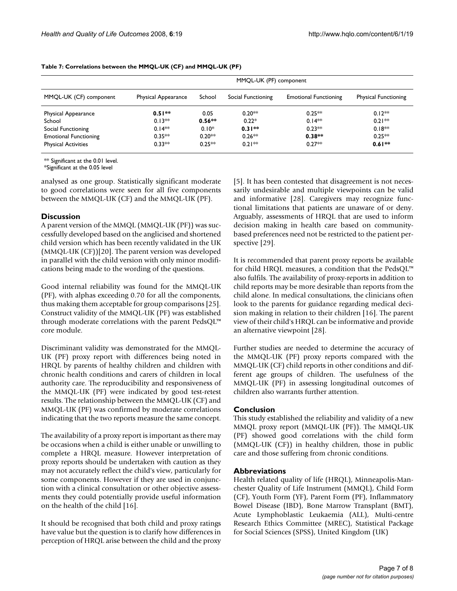|                              | MMQL-UK (PF) component |           |                    |                              |                             |
|------------------------------|------------------------|-----------|--------------------|------------------------------|-----------------------------|
| MMQL-UK (CF) component       | Physical Appearance    | School    | Social Functioning | <b>Emotional Functioning</b> | <b>Physical Functioning</b> |
| Physical Appearance          | $0.51**$               | 0.05      | $0.20**$           | $0.25**$                     | $0.12**$                    |
| School                       | $0.13**$               | $0.56**$  | $0.22*$            | $0.14***$                    | $0.21***$                   |
| Social Functioning           | $0.14***$              | $0.10*$   | $0.31**$           | $0.23**$                     | $0.18**$                    |
| <b>Emotional Functioning</b> | $0.35***$              | $0.20**$  | $0.26**$           | $0.38**$                     | $0.25***$                   |
| <b>Physical Activities</b>   | $0.33**$               | $0.25***$ | $0.21***$          | $0.27**$                     | $0.61**$                    |

#### **Table 7: Correlations between the MMQL-UK (CF) and MMQL-UK (PF)**

\*\* Significant at the 0.01 level.

\*Significant at the 0.05 level

analysed as one group. Statistically significant moderate to good correlations were seen for all five components between the MMQL-UK (CF) and the MMQL-UK (PF).

# **Discussion**

A parent version of the MMQL (MMQL-UK (PF)) was successfully developed based on the anglicised and shortened child version which has been recently validated in the UK (MMQL-UK (CF))[20]. The parent version was developed in parallel with the child version with only minor modifications being made to the wording of the questions.

Good internal reliability was found for the MMQL-UK (PF), with alphas exceeding 0.70 for all the components, thus making them acceptable for group comparisons [25]. Construct validity of the MMQL-UK (PF) was established through moderate correlations with the parent PedsQL™ core module.

Discriminant validity was demonstrated for the MMQL-UK (PF) proxy report with differences being noted in HRQL by parents of healthy children and children with chronic health conditions and carers of children in local authority care. The reproducibility and responsiveness of the MMQL-UK (PF) were indicated by good test-retest results. The relationship between the MMQL-UK (CF) and MMQL-UK (PF) was confirmed by moderate correlations indicating that the two reports measure the same concept.

The availability of a proxy report is important as there may be occasions when a child is either unable or unwilling to complete a HRQL measure. However interpretation of proxy reports should be undertaken with caution as they may not accurately reflect the child's view, particularly for some components. However if they are used in conjunction with a clinical consultation or other objective assessments they could potentially provide useful information on the health of the child [16].

It should be recognised that both child and proxy ratings have value but the question is to clarify how differences in perception of HRQL arise between the child and the proxy

[5]. It has been contested that disagreement is not necessarily undesirable and multiple viewpoints can be valid and informative [28]. Caregivers may recognize functional limitations that patients are unaware of or deny. Arguably, assessments of HRQL that are used to inform decision making in health care based on communitybased preferences need not be restricted to the patient perspective [29].

It is recommended that parent proxy reports be available for child HRQL measures, a condition that the PedsQL™ also fulfils. The availability of proxy-reports in addition to child reports may be more desirable than reports from the child alone. In medical consultations, the clinicians often look to the parents for guidance regarding medical decision making in relation to their children [16]. The parent view of their child's HRQL can be informative and provide an alternative viewpoint [28].

Further studies are needed to determine the accuracy of the MMQL-UK (PF) proxy reports compared with the MMQL-UK (CF) child reports in other conditions and different age groups of children. The usefulness of the MMQL-UK (PF) in assessing longitudinal outcomes of children also warrants further attention.

# **Conclusion**

This study established the reliability and validity of a new MMQL proxy report (MMQL-UK (PF)). The MMQL-UK (PF) showed good correlations with the child form (MMQL-UK (CF)) in healthy children, those in public care and those suffering from chronic conditions.

# **Abbreviations**

Health related quality of life (HRQL), Minneapolis-Manchester Quality of Life Instrument (MMQL), Child Form (CF), Youth Form (YF), Parent Form (PF), Inflammatory Bowel Disease (IBD), Bone Marrow Transplant (BMT), Acute Lymphoblastic Leukaemia (ALL), Multi-centre Research Ethics Committee (MREC), Statistical Package for Social Sciences (SPSS), United Kingdom (UK)